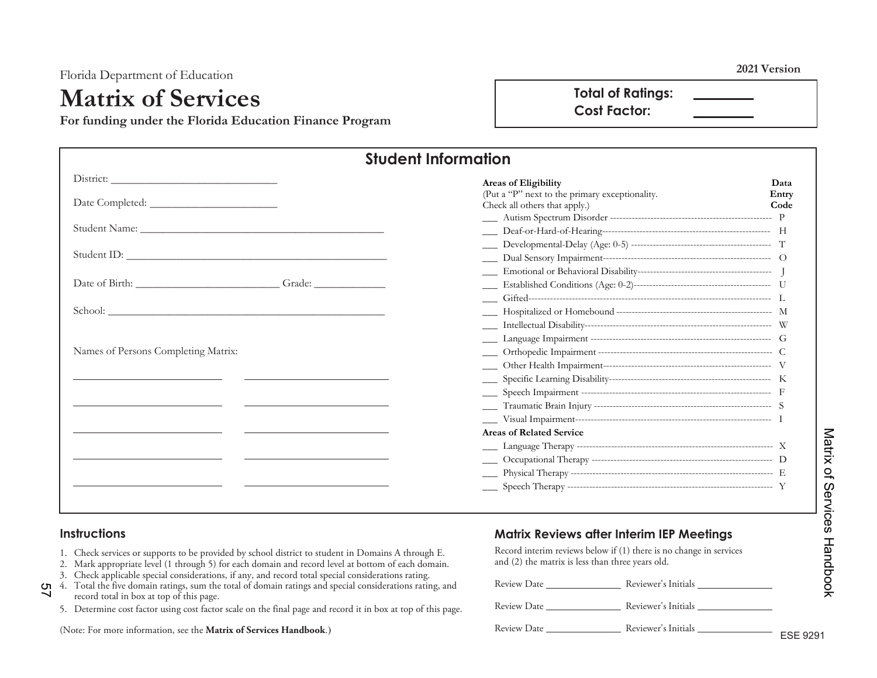Florida Department of Education **2021 Version** 

## **Matrix of Services**

**For funding under the Florida Education Finance Program** 

**Total of Ratings: Cost Factor:** 

| <b>Student Information</b>                                                                                                                                                                                                     |                                                                                 |               |  |
|--------------------------------------------------------------------------------------------------------------------------------------------------------------------------------------------------------------------------------|---------------------------------------------------------------------------------|---------------|--|
|                                                                                                                                                                                                                                | <b>Areas of Eligibility</b>                                                     | Data          |  |
|                                                                                                                                                                                                                                | (Put a "P" next to the primary exceptionality.<br>Check all others that apply.) | Entry<br>Code |  |
|                                                                                                                                                                                                                                |                                                                                 |               |  |
|                                                                                                                                                                                                                                |                                                                                 |               |  |
|                                                                                                                                                                                                                                |                                                                                 |               |  |
| School: the contract of the contract of the contract of the contract of the contract of the contract of the contract of the contract of the contract of the contract of the contract of the contract of the contract of the co |                                                                                 |               |  |
|                                                                                                                                                                                                                                |                                                                                 |               |  |
|                                                                                                                                                                                                                                |                                                                                 |               |  |
| Names of Persons Completing Matrix:                                                                                                                                                                                            |                                                                                 |               |  |
|                                                                                                                                                                                                                                |                                                                                 |               |  |
|                                                                                                                                                                                                                                |                                                                                 |               |  |
|                                                                                                                                                                                                                                |                                                                                 |               |  |
|                                                                                                                                                                                                                                |                                                                                 |               |  |
|                                                                                                                                                                                                                                |                                                                                 |               |  |
|                                                                                                                                                                                                                                | <b>Areas of Related Service</b>                                                 |               |  |
|                                                                                                                                                                                                                                |                                                                                 |               |  |
|                                                                                                                                                                                                                                |                                                                                 |               |  |
|                                                                                                                                                                                                                                |                                                                                 |               |  |
|                                                                                                                                                                                                                                |                                                                                 |               |  |

#### **Instructions**

- 1. Check services or supports to be provided by school district to student in Domains A through E.
- 2. Mark appropriate level (1 through 5) for each domain and record level at bottom of each domain.
- 3. Check applicable special considerations, if any, and record total special considerations rating.
- 4. Total the five domain ratings, sum the total of domain ratings and special considerations rating, and record total in box at top of this page. <u>ጣ</u>
	- 5. Determine cost factor using cost factor scale on the final page and record it in box at top of this page.

(Note: For more information, see the **Matrix of Services Handbook**.)

#### **Matrix Reviews after Interim IEP Meetings**

Record interim reviews below if (1) there is no change in services and (2) the matrix is less than three years old.

Review Date Reviewer's Initials

Review Date Reviewer's Initials

Review Date Reviewer's Initials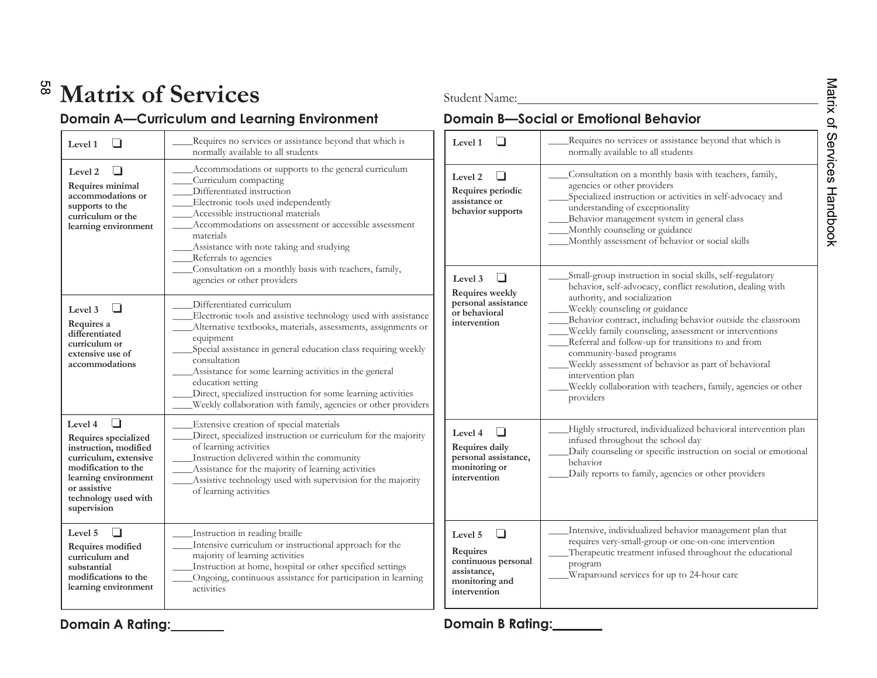# **Matrix of Services** Student Name:

### **Domain A—Curriculum and Learning Environment Comain B—Social or Emotional Behavior**

| Level 1                                                                                                                                                                                 | Requires no services or assistance beyond that which is<br>normally available to all students                                                                                                                                                                                                                                                                                                                                                                               |
|-----------------------------------------------------------------------------------------------------------------------------------------------------------------------------------------|-----------------------------------------------------------------------------------------------------------------------------------------------------------------------------------------------------------------------------------------------------------------------------------------------------------------------------------------------------------------------------------------------------------------------------------------------------------------------------|
| Level 2<br>Requires minimal<br>accommodations or<br>supports to the<br>curriculum or the<br>learning environment                                                                        | Accommodations or supports to the general curriculum<br>Curriculum compacting<br>Differentiated instruction<br>Electronic tools used independently<br>Accessible instructional materials<br>Accommodations on assessment or accessible assessment<br>materials<br>Assistance with note taking and studying<br>Referrals to agencies<br>Consultation on a monthly basis with teachers, family,<br>agencies or other providers                                                |
| Level 3<br>l 1<br>Requires a<br>differentiated<br>curriculum or<br>extensive use of<br>accommodations                                                                                   | Differentiated curriculum<br>Electronic tools and assistive technology used with assistance<br>Alternative textbooks, materials, assessments, assignments or<br>equipment<br>Special assistance in general education class requiring weekly<br>consultation<br>Assistance for some learning activities in the general<br>education setting<br>Direct, specialized instruction for some learning activities<br>Weekly collaboration with family, agencies or other providers |
| Level 4<br>Requires specialized<br>instruction, modified<br>curriculum, extensive<br>modification to the<br>learning environment<br>or assistive<br>technology used with<br>supervision | Extensive creation of special materials<br>Direct, specialized instruction or curriculum for the majority<br>of learning activities<br>Instruction delivered within the community<br>Assistance for the majority of learning activities<br>Assistive technology used with supervision for the majority<br>of learning activities                                                                                                                                            |
| Level <sub>5</sub><br>Requires modified<br>curriculum and<br>substantial<br>modifications to the<br>learning environment                                                                | Instruction in reading braille<br>Intensive curriculum or instructional approach for the<br>majority of learning activities<br>Instruction at home, hospital or other specified settings<br>Ongoing, continuous assistance for participation in learning<br>activities                                                                                                                                                                                                      |

| Level 1                                                                                                | Requires no services or assistance beyond that which is<br>normally available to all students                                                                                                                                                                                                                                                                                                                                                                                                                                                                |  |  |
|--------------------------------------------------------------------------------------------------------|--------------------------------------------------------------------------------------------------------------------------------------------------------------------------------------------------------------------------------------------------------------------------------------------------------------------------------------------------------------------------------------------------------------------------------------------------------------------------------------------------------------------------------------------------------------|--|--|
| Level <sub>2</sub><br>Requires periodic<br>assistance or<br>behavior supports                          | Consultation on a monthly basis with teachers, family,<br>agencies or other providers<br>Specialized instruction or activities in self-advocacy and<br>understanding of exceptionality<br>Behavior management system in general class<br>Monthly counseling or guidance<br>Monthly assessment of behavior or social skills                                                                                                                                                                                                                                   |  |  |
| Level 3<br><b>Requires weekly</b><br>personal assistance<br>or behavioral<br>intervention              | Small-group instruction in social skills, self-regulatory<br>behavior, self-advocacy, conflict resolution, dealing with<br>authority, and socialization<br>Weekly counseling or guidance<br>Behavior contract, including behavior outside the classroom<br>Weekly family counseling, assessment or interventions<br>Referral and follow-up for transitions to and from<br>community-based programs<br>Weekly assessment of behavior as part of behavioral<br>intervention plan<br>Weekly collaboration with teachers, family, agencies or other<br>providers |  |  |
| Level 4<br>Requires daily<br>personal assistance,<br>monitoring or<br>intervention                     | Highly structured, individualized behavioral intervention plan<br>infused throughout the school day<br>Daily counseling or specific instruction on social or emotional<br>behavior<br>Daily reports to family, agencies or other providers                                                                                                                                                                                                                                                                                                                   |  |  |
| Level <sub>5</sub><br>Requires<br>continuous personal<br>assistance,<br>monitoring and<br>intervention | Intensive, individualized behavior management plan that<br>requires very-small-group or one-on-one intervention<br>Therapeutic treatment infused throughout the educational<br>program<br>Wraparound services for up to 24-hour care                                                                                                                                                                                                                                                                                                                         |  |  |

### **Domain A Rating: Domain B Rating:**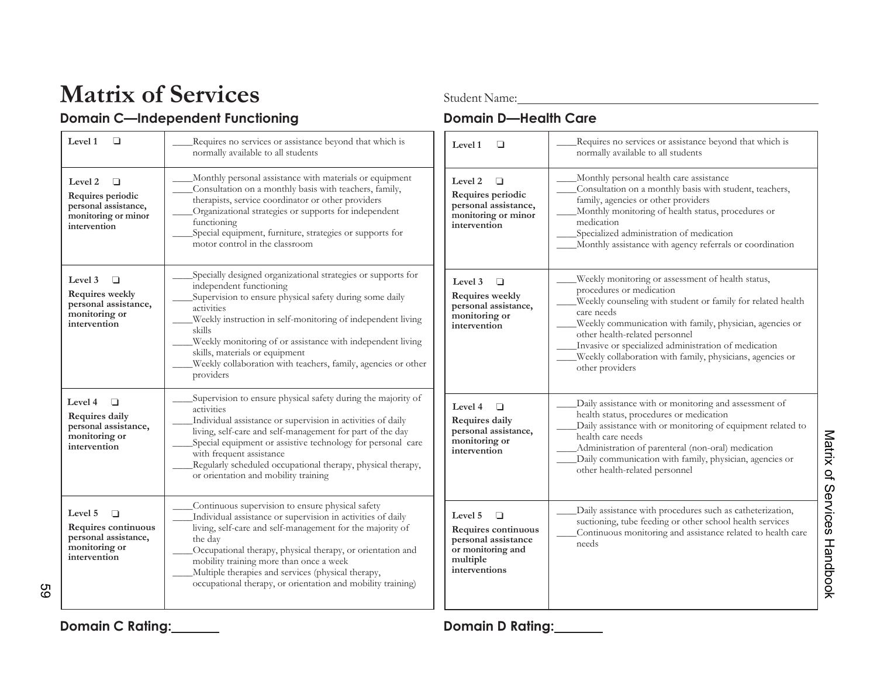# **Matrix of Services**<br> **Student Name:**<br> **Student Name:**<br> **Domain D—Health Care**

### **Domain C—Independent Functioning**

| Level 1<br>$\Box$                                                                                     | Requires no services or assistance beyond that which is<br>normally available to all students                                                                                                                                                                                                                                                                                                                           | $\Box$<br>Level 1                                                                                                 | Requires no services or assistance beyond that which is<br>normally available to all students                                                                                                                                                                                                                                                                                                    |
|-------------------------------------------------------------------------------------------------------|-------------------------------------------------------------------------------------------------------------------------------------------------------------------------------------------------------------------------------------------------------------------------------------------------------------------------------------------------------------------------------------------------------------------------|-------------------------------------------------------------------------------------------------------------------|--------------------------------------------------------------------------------------------------------------------------------------------------------------------------------------------------------------------------------------------------------------------------------------------------------------------------------------------------------------------------------------------------|
| Level 2<br>$\Box$<br>Requires periodic<br>personal assistance,<br>monitoring or minor<br>intervention | Monthly personal assistance with materials or equipment<br>Consultation on a monthly basis with teachers, family,<br>therapists, service coordinator or other providers<br>Organizational strategies or supports for independent<br>functioning<br>Special equipment, furniture, strategies or supports for<br>motor control in the classroom                                                                           | Level 2<br>$\Box$<br>Requires periodic<br>personal assistance,<br>monitoring or minor<br>intervention             | Monthly personal health care assistance<br>Consultation on a monthly basis with student, teachers,<br>family, agencies or other providers<br>Monthly monitoring of health status, procedures or<br>medication<br>Specialized administration of medication<br>Monthly assistance with agency referrals or coordination                                                                            |
| Level 3<br>$\Box$<br>Requires weekly<br>personal assistance,<br>monitoring or<br>intervention         | Specially designed organizational strategies or supports for<br>independent functioning<br>Supervision to ensure physical safety during some daily<br>activities<br>Weekly instruction in self-monitoring of independent living<br>skills<br>Weekly monitoring of or assistance with independent living<br>skills, materials or equipment<br>Weekly collaboration with teachers, family, agencies or other<br>providers | Level 3<br>□<br>Requires weekly<br>personal assistance,<br>monitoring or<br>intervention                          | Weekly monitoring or assessment of health status,<br>procedures or medication<br>Weekly counseling with student or family for related health<br>care needs<br>Weekly communication with family, physician, agencies or<br>other health-related personnel<br>Invasive or specialized administration of medication<br>Weekly collaboration with family, physicians, agencies or<br>other providers |
| $\Box$<br>Level 4<br>Requires daily<br>personal assistance,<br>monitoring or<br>intervention          | Supervision to ensure physical safety during the majority of<br>activities<br>Individual assistance or supervision in activities of daily<br>living, self-care and self-management for part of the day<br>Special equipment or assistive technology for personal care<br>with frequent assistance<br>Regularly scheduled occupational therapy, physical therapy,<br>or orientation and mobility training                | Level 4<br>$\Box$<br>Requires daily<br>personal assistance,<br>monitoring or<br>intervention                      | Daily assistance with or monitoring and assessment of<br>health status, procedures or medication<br>Daily assistance with or monitoring of equipment related to<br>health care needs<br>Administration of parenteral (non-oral) medication<br>Daily communication with family, physician, agencies or<br>other health-related personnel                                                          |
| Level 5<br>$\Box$<br>Requires continuous<br>personal assistance,<br>monitoring or<br>intervention     | Continuous supervision to ensure physical safety<br>Individual assistance or supervision in activities of daily<br>living, self-care and self-management for the majority of<br>the day<br>Occupational therapy, physical therapy, or orientation and<br>mobility training more than once a week<br>Multiple therapies and services (physical therapy,<br>occupational therapy, or orientation and mobility training)   | Level 5<br>$\Box$<br>Requires continuous<br>personal assistance<br>or monitoring and<br>multiple<br>interventions | Daily assistance with procedures such as catheterization,<br>suctioning, tube feeding or other school health services<br>Continuous monitoring and assistance related to health care<br>needs                                                                                                                                                                                                    |

59

**Domain C Rating: Domain D Rating:**